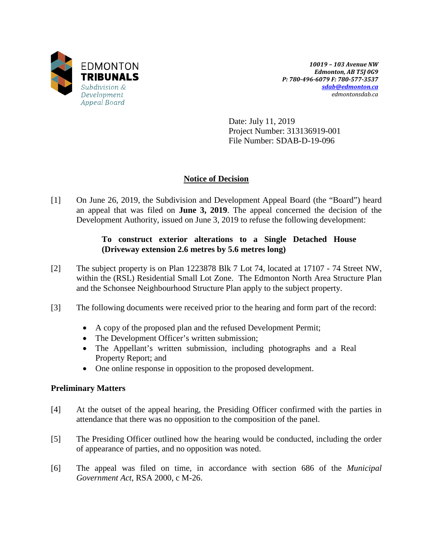

*10019 – 103 Avenue NW Edmonton, AB T5J 0G9 P: 780-496-6079 F: 780-577-3537 [sdab@edmonton.ca](mailto:sdab@edmonton.ca) edmontonsdab.ca*

Date: July 11, 2019 Project Number: 313136919-001 File Number: SDAB-D-19-096

# **Notice of Decision**

[1] On June 26, 2019, the Subdivision and Development Appeal Board (the "Board") heard an appeal that was filed on **June 3, 2019**. The appeal concerned the decision of the Development Authority, issued on June 3, 2019 to refuse the following development:

## **To construct exterior alterations to a Single Detached House (Driveway extension 2.6 metres by 5.6 metres long)**

- [2] The subject property is on Plan 1223878 Blk 7 Lot 74, located at 17107 74 Street NW, within the (RSL) Residential Small Lot Zone. The Edmonton North Area Structure Plan and the Schonsee Neighbourhood Structure Plan apply to the subject property.
- [3] The following documents were received prior to the hearing and form part of the record:
	- A copy of the proposed plan and the refused Development Permit;
	- The Development Officer's written submission;
	- The Appellant's written submission, including photographs and a Real Property Report; and
	- One online response in opposition to the proposed development.

### **Preliminary Matters**

- [4] At the outset of the appeal hearing, the Presiding Officer confirmed with the parties in attendance that there was no opposition to the composition of the panel.
- [5] The Presiding Officer outlined how the hearing would be conducted, including the order of appearance of parties, and no opposition was noted.
- [6] The appeal was filed on time, in accordance with section 686 of the *Municipal Government Act*, RSA 2000, c M-26.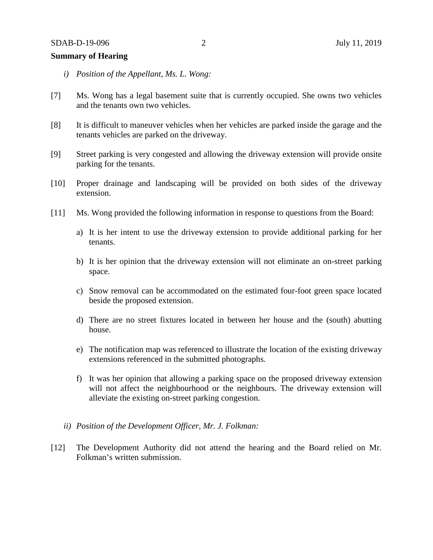### **Summary of Hearing**

- *i) Position of the Appellant, Ms. L. Wong:*
- [7] Ms. Wong has a legal basement suite that is currently occupied. She owns two vehicles and the tenants own two vehicles.
- [8] It is difficult to maneuver vehicles when her vehicles are parked inside the garage and the tenants vehicles are parked on the driveway.
- [9] Street parking is very congested and allowing the driveway extension will provide onsite parking for the tenants.
- [10] Proper drainage and landscaping will be provided on both sides of the driveway extension.
- [11] Ms. Wong provided the following information in response to questions from the Board:
	- a) It is her intent to use the driveway extension to provide additional parking for her tenants.
	- b) It is her opinion that the driveway extension will not eliminate an on-street parking space.
	- c) Snow removal can be accommodated on the estimated four-foot green space located beside the proposed extension.
	- d) There are no street fixtures located in between her house and the (south) abutting house.
	- e) The notification map was referenced to illustrate the location of the existing driveway extensions referenced in the submitted photographs.
	- f) It was her opinion that allowing a parking space on the proposed driveway extension will not affect the neighbourhood or the neighbours. The driveway extension will alleviate the existing on-street parking congestion.
	- *ii) Position of the Development Officer, Mr. J. Folkman:*
- [12] The Development Authority did not attend the hearing and the Board relied on Mr. Folkman's written submission.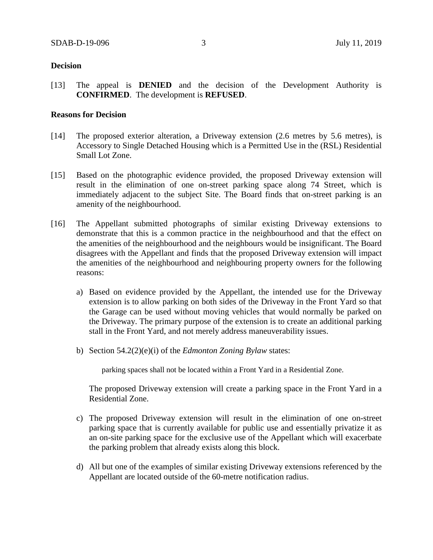#### **Decision**

[13] The appeal is **DENIED** and the decision of the Development Authority is **CONFIRMED**. The development is **REFUSED**.

#### **Reasons for Decision**

- [14] The proposed exterior alteration, a Driveway extension (2.6 metres by 5.6 metres), is Accessory to Single Detached Housing which is a Permitted Use in the (RSL) Residential Small Lot Zone.
- [15] Based on the photographic evidence provided, the proposed Driveway extension will result in the elimination of one on-street parking space along 74 Street, which is immediately adjacent to the subject Site. The Board finds that on-street parking is an amenity of the neighbourhood.
- [16] The Appellant submitted photographs of similar existing Driveway extensions to demonstrate that this is a common practice in the neighbourhood and that the effect on the amenities of the neighbourhood and the neighbours would be insignificant. The Board disagrees with the Appellant and finds that the proposed Driveway extension will impact the amenities of the neighbourhood and neighbouring property owners for the following reasons:
	- a) Based on evidence provided by the Appellant, the intended use for the Driveway extension is to allow parking on both sides of the Driveway in the Front Yard so that the Garage can be used without moving vehicles that would normally be parked on the Driveway. The primary purpose of the extension is to create an additional parking stall in the Front Yard, and not merely address maneuverability issues.
	- b) Section 54.2(2)(e)(i) of the *Edmonton Zoning Bylaw* states:

parking spaces shall not be located within a Front Yard in a Residential Zone.

The proposed Driveway extension will create a parking space in the Front Yard in a Residential Zone.

- c) The proposed Driveway extension will result in the elimination of one on-street parking space that is currently available for public use and essentially privatize it as an on-site parking space for the exclusive use of the Appellant which will exacerbate the parking problem that already exists along this block.
- d) All but one of the examples of similar existing Driveway extensions referenced by the Appellant are located outside of the 60-metre notification radius.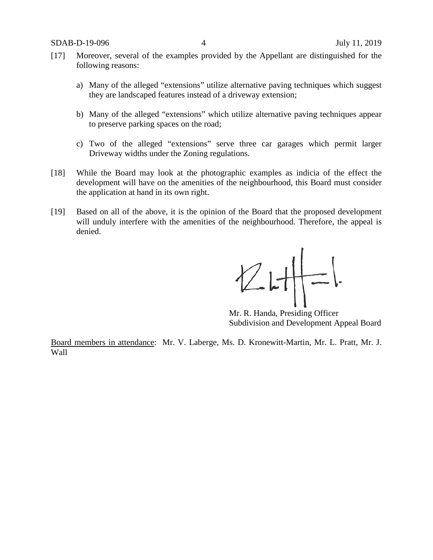- [17] Moreover, several of the examples provided by the Appellant are distinguished for the following reasons:
	- a) Many of the alleged "extensions" utilize alternative paving techniques which suggest they are landscaped features instead of a driveway extension;
	- b) Many of the alleged "extensions" which utilize alternative paving techniques appear to preserve parking spaces on the road;
	- c) Two of the alleged "extensions" serve three car garages which permit larger Driveway widths under the Zoning regulations.
- [18] While the Board may look at the photographic examples as indicia of the effect the development will have on the amenities of the neighbourhood, this Board must consider the application at hand in its own right.
- [19] Based on all of the above, it is the opinion of the Board that the proposed development will unduly interfere with the amenities of the neighbourhood. Therefore, the appeal is denied.

 $Z$  L  $H$  =

Mr. R. Handa, Presiding Officer Subdivision and Development Appeal Board

Board members in attendance: Mr. V. Laberge, Ms. D. Kronewitt-Martin, Mr. L. Pratt, Mr. J. Wall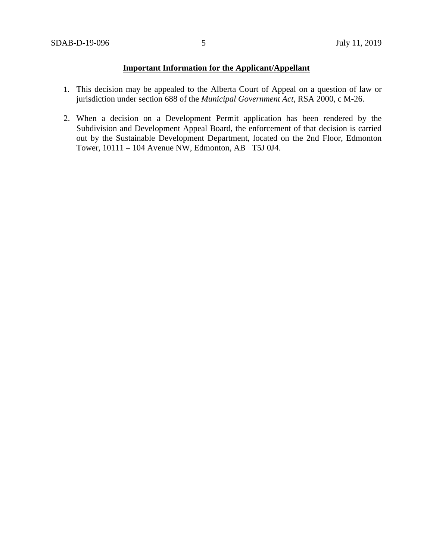# **Important Information for the Applicant/Appellant**

- 1. This decision may be appealed to the Alberta Court of Appeal on a question of law or jurisdiction under section 688 of the *Municipal Government Act*, RSA 2000, c M-26.
- 2. When a decision on a Development Permit application has been rendered by the Subdivision and Development Appeal Board, the enforcement of that decision is carried out by the Sustainable Development Department, located on the 2nd Floor, Edmonton Tower, 10111 – 104 Avenue NW, Edmonton, AB T5J 0J4.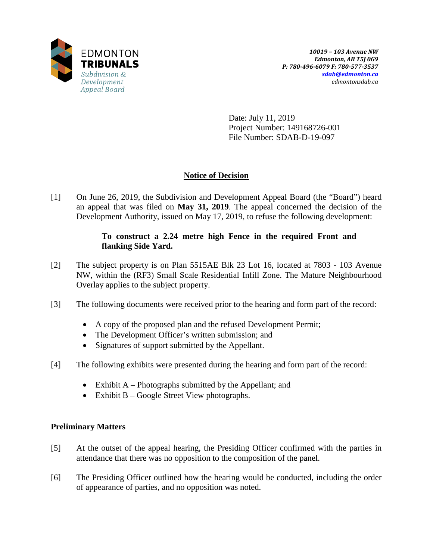

Date: July 11, 2019 Project Number: 149168726-001 File Number: SDAB-D-19-097

# **Notice of Decision**

[1] On June 26, 2019, the Subdivision and Development Appeal Board (the "Board") heard an appeal that was filed on **May 31, 2019**. The appeal concerned the decision of the Development Authority, issued on May 17, 2019, to refuse the following development:

## **To construct a 2.24 metre high Fence in the required Front and flanking Side Yard.**

- [2] The subject property is on Plan 5515AE Blk 23 Lot 16, located at 7803 103 Avenue NW, within the (RF3) Small Scale Residential Infill Zone. The Mature Neighbourhood Overlay applies to the subject property.
- [3] The following documents were received prior to the hearing and form part of the record:
	- A copy of the proposed plan and the refused Development Permit;
	- The Development Officer's written submission; and
	- Signatures of support submitted by the Appellant.
- [4] The following exhibits were presented during the hearing and form part of the record:
	- Exhibit A Photographs submitted by the Appellant; and
	- Exhibit B Google Street View photographs.

## **Preliminary Matters**

- [5] At the outset of the appeal hearing, the Presiding Officer confirmed with the parties in attendance that there was no opposition to the composition of the panel.
- [6] The Presiding Officer outlined how the hearing would be conducted, including the order of appearance of parties, and no opposition was noted.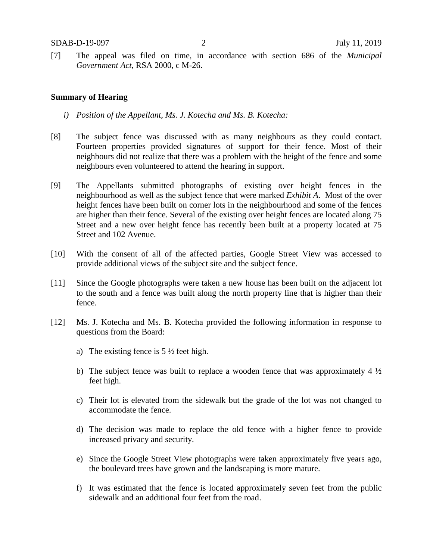[7] The appeal was filed on time, in accordance with section 686 of the *Municipal Government Act*, RSA 2000, c M-26.

#### **Summary of Hearing**

- *i) Position of the Appellant, Ms. J. Kotecha and Ms. B. Kotecha:*
- [8] The subject fence was discussed with as many neighbours as they could contact. Fourteen properties provided signatures of support for their fence. Most of their neighbours did not realize that there was a problem with the height of the fence and some neighbours even volunteered to attend the hearing in support.
- [9] The Appellants submitted photographs of existing over height fences in the neighbourhood as well as the subject fence that were marked *Exhibit A*. Most of the over height fences have been built on corner lots in the neighbourhood and some of the fences are higher than their fence. Several of the existing over height fences are located along 75 Street and a new over height fence has recently been built at a property located at 75 Street and 102 Avenue.
- [10] With the consent of all of the affected parties, Google Street View was accessed to provide additional views of the subject site and the subject fence.
- [11] Since the Google photographs were taken a new house has been built on the adjacent lot to the south and a fence was built along the north property line that is higher than their fence.
- [12] Ms. J. Kotecha and Ms. B. Kotecha provided the following information in response to questions from the Board:
	- a) The existing fence is  $5\frac{1}{2}$  feet high.
	- b) The subject fence was built to replace a wooden fence that was approximately 4  $\frac{1}{2}$ feet high.
	- c) Their lot is elevated from the sidewalk but the grade of the lot was not changed to accommodate the fence.
	- d) The decision was made to replace the old fence with a higher fence to provide increased privacy and security.
	- e) Since the Google Street View photographs were taken approximately five years ago, the boulevard trees have grown and the landscaping is more mature.
	- f) It was estimated that the fence is located approximately seven feet from the public sidewalk and an additional four feet from the road.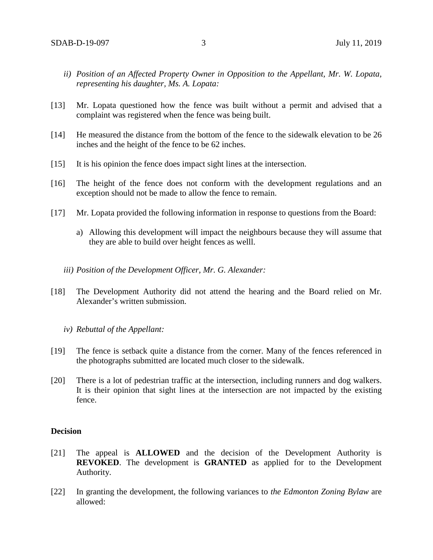- *ii) Position of an Affected Property Owner in Opposition to the Appellant, Mr. W. Lopata, representing his daughter, Ms. A. Lopata:*
- [13] Mr. Lopata questioned how the fence was built without a permit and advised that a complaint was registered when the fence was being built.
- [14] He measured the distance from the bottom of the fence to the sidewalk elevation to be 26 inches and the height of the fence to be 62 inches.
- [15] It is his opinion the fence does impact sight lines at the intersection.
- [16] The height of the fence does not conform with the development regulations and an exception should not be made to allow the fence to remain.
- [17] Mr. Lopata provided the following information in response to questions from the Board:
	- a) Allowing this development will impact the neighbours because they will assume that they are able to build over height fences as welll.
	- *iii) Position of the Development Officer, Mr. G. Alexander:*
- [18] The Development Authority did not attend the hearing and the Board relied on Mr. Alexander's written submission.
	- *iv) Rebuttal of the Appellant:*
- [19] The fence is setback quite a distance from the corner. Many of the fences referenced in the photographs submitted are located much closer to the sidewalk.
- [20] There is a lot of pedestrian traffic at the intersection, including runners and dog walkers. It is their opinion that sight lines at the intersection are not impacted by the existing fence.

### **Decision**

- [21] The appeal is **ALLOWED** and the decision of the Development Authority is **REVOKED**. The development is **GRANTED** as applied for to the Development Authority.
- [22] In granting the development, the following variances to *the Edmonton Zoning Bylaw* are allowed: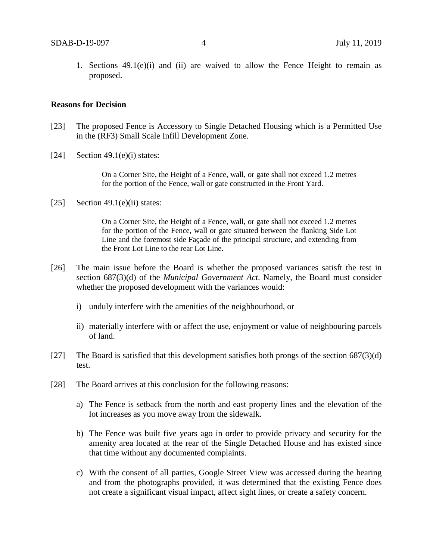1. Sections  $49.1(e)(i)$  and  $(ii)$  are waived to allow the Fence Height to remain as proposed.

#### **Reasons for Decision**

- [23] The proposed Fence is Accessory to Single Detached Housing which is a Permitted Use in the (RF3) Small Scale Infill Development Zone.
- [24] Section 49.1(e)(i) states:

On a Corner Site, the Height of a Fence, wall, or gate shall not exceed 1.2 metres for the portion of the Fence, wall or gate constructed in the Front Yard.

[25] Section 49.1(e)(ii) states:

On a Corner Site, the Height of a Fence, wall, or gate shall not exceed 1.2 metres for the portion of the Fence, wall or gate situated between the flanking Side Lot Line and the foremost side Façade of the principal structure, and extending from the Front Lot Line to the rear Lot Line.

- [26] The main issue before the Board is whether the proposed variances satisft the test in section 687(3)(d) of the *Municipal Government Act*. Namely, the Board must consider whether the proposed development with the variances would:
	- i) unduly interfere with the amenities of the neighbourhood, or
	- ii) materially interfere with or affect the use, enjoyment or value of neighbouring parcels of land.
- [27] The Board is satisfied that this development satisfies both prongs of the section  $687(3)(d)$ test.
- [28] The Board arrives at this conclusion for the following reasons:
	- a) The Fence is setback from the north and east property lines and the elevation of the lot increases as you move away from the sidewalk.
	- b) The Fence was built five years ago in order to provide privacy and security for the amenity area located at the rear of the Single Detached House and has existed since that time without any documented complaints.
	- c) With the consent of all parties, Google Street View was accessed during the hearing and from the photographs provided, it was determined that the existing Fence does not create a significant visual impact, affect sight lines, or create a safety concern.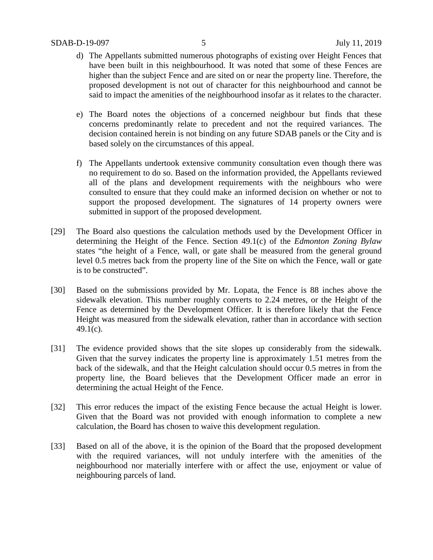- d) The Appellants submitted numerous photographs of existing over Height Fences that have been built in this neighbourhood. It was noted that some of these Fences are higher than the subject Fence and are sited on or near the property line. Therefore, the proposed development is not out of character for this neighbourhood and cannot be said to impact the amenities of the neighbourhood insofar as it relates to the character.
- e) The Board notes the objections of a concerned neighbour but finds that these concerns predominantly relate to precedent and not the required variances. The decision contained herein is not binding on any future SDAB panels or the City and is based solely on the circumstances of this appeal.
- f) The Appellants undertook extensive community consultation even though there was no requirement to do so. Based on the information provided, the Appellants reviewed all of the plans and development requirements with the neighbours who were consulted to ensure that they could make an informed decision on whether or not to support the proposed development. The signatures of 14 property owners were submitted in support of the proposed development.
- [29] The Board also questions the calculation methods used by the Development Officer in determining the Height of the Fence. Section 49.1(c) of the *Edmonton Zoning Bylaw* states "the height of a Fence, wall, or gate shall be measured from the general ground level 0.5 metres back from the property line of the Site on which the Fence, wall or gate is to be constructed".
- [30] Based on the submissions provided by Mr. Lopata, the Fence is 88 inches above the sidewalk elevation. This number roughly converts to 2.24 metres, or the Height of the Fence as determined by the Development Officer. It is therefore likely that the Fence Height was measured from the sidewalk elevation, rather than in accordance with section 49.1(c).
- [31] The evidence provided shows that the site slopes up considerably from the sidewalk. Given that the survey indicates the property line is approximately 1.51 metres from the back of the sidewalk, and that the Height calculation should occur 0.5 metres in from the property line, the Board believes that the Development Officer made an error in determining the actual Height of the Fence.
- [32] This error reduces the impact of the existing Fence because the actual Height is lower. Given that the Board was not provided with enough information to complete a new calculation, the Board has chosen to waive this development regulation.
- [33] Based on all of the above, it is the opinion of the Board that the proposed development with the required variances, will not unduly interfere with the amenities of the neighbourhood nor materially interfere with or affect the use, enjoyment or value of neighbouring parcels of land.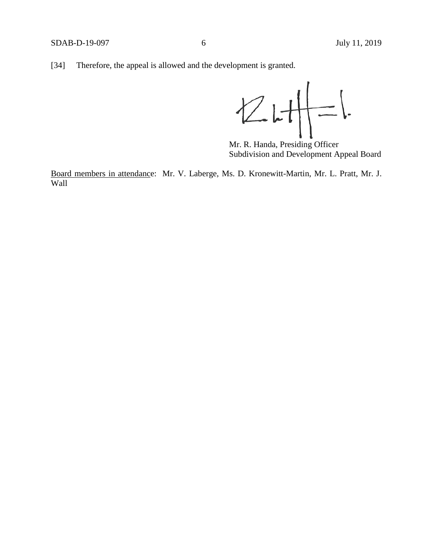[34] Therefore, the appeal is allowed and the development is granted.

 $Z$   $H$   $=$ 

Mr. R. Handa, Presiding Officer Subdivision and Development Appeal Board

Board members in attendance: Mr. V. Laberge, Ms. D. Kronewitt-Martin, Mr. L. Pratt, Mr. J. Wall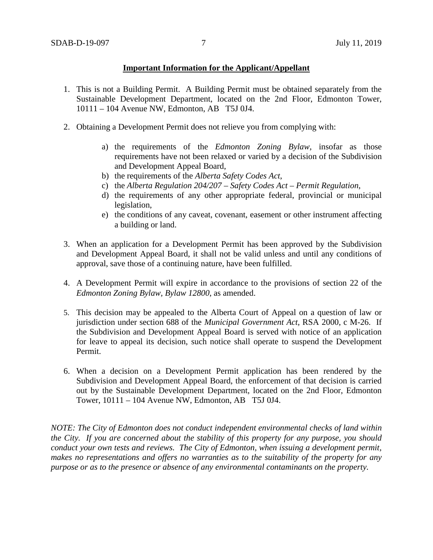### **Important Information for the Applicant/Appellant**

- 1. This is not a Building Permit. A Building Permit must be obtained separately from the Sustainable Development Department, located on the 2nd Floor, Edmonton Tower, 10111 – 104 Avenue NW, Edmonton, AB T5J 0J4.
- 2. Obtaining a Development Permit does not relieve you from complying with:
	- a) the requirements of the *Edmonton Zoning Bylaw*, insofar as those requirements have not been relaxed or varied by a decision of the Subdivision and Development Appeal Board,
	- b) the requirements of the *Alberta Safety Codes Act*,
	- c) the *Alberta Regulation 204/207 – Safety Codes Act – Permit Regulation*,
	- d) the requirements of any other appropriate federal, provincial or municipal legislation,
	- e) the conditions of any caveat, covenant, easement or other instrument affecting a building or land.
- 3. When an application for a Development Permit has been approved by the Subdivision and Development Appeal Board, it shall not be valid unless and until any conditions of approval, save those of a continuing nature, have been fulfilled.
- 4. A Development Permit will expire in accordance to the provisions of section 22 of the *Edmonton Zoning Bylaw, Bylaw 12800*, as amended.
- 5. This decision may be appealed to the Alberta Court of Appeal on a question of law or jurisdiction under section 688 of the *Municipal Government Act*, RSA 2000, c M-26. If the Subdivision and Development Appeal Board is served with notice of an application for leave to appeal its decision, such notice shall operate to suspend the Development Permit.
- 6. When a decision on a Development Permit application has been rendered by the Subdivision and Development Appeal Board, the enforcement of that decision is carried out by the Sustainable Development Department, located on the 2nd Floor, Edmonton Tower, 10111 – 104 Avenue NW, Edmonton, AB T5J 0J4.

*NOTE: The City of Edmonton does not conduct independent environmental checks of land within the City. If you are concerned about the stability of this property for any purpose, you should conduct your own tests and reviews. The City of Edmonton, when issuing a development permit, makes no representations and offers no warranties as to the suitability of the property for any purpose or as to the presence or absence of any environmental contaminants on the property.*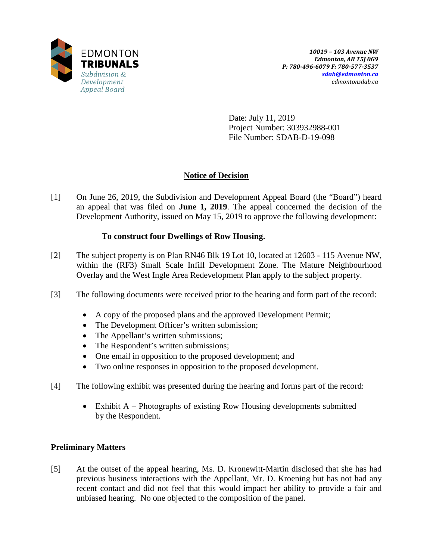

Date: July 11, 2019 Project Number: 303932988-001 File Number: SDAB-D-19-098

# **Notice of Decision**

[1] On June 26, 2019, the Subdivision and Development Appeal Board (the "Board") heard an appeal that was filed on **June 1, 2019**. The appeal concerned the decision of the Development Authority, issued on May 15, 2019 to approve the following development:

# **To construct four Dwellings of Row Housing.**

- [2] The subject property is on Plan RN46 Blk 19 Lot 10, located at 12603 115 Avenue NW, within the (RF3) Small Scale Infill Development Zone. The Mature Neighbourhood Overlay and the West Ingle Area Redevelopment Plan apply to the subject property.
- [3] The following documents were received prior to the hearing and form part of the record:
	- A copy of the proposed plans and the approved Development Permit;
	- The Development Officer's written submission;
	- The Appellant's written submissions;
	- The Respondent's written submissions;
	- One email in opposition to the proposed development; and
	- Two online responses in opposition to the proposed development.
- [4] The following exhibit was presented during the hearing and forms part of the record:
	- Exhibit A Photographs of existing Row Housing developments submitted by the Respondent.

## **Preliminary Matters**

[5] At the outset of the appeal hearing, Ms. D. Kronewitt-Martin disclosed that she has had previous business interactions with the Appellant, Mr. D. Kroening but has not had any recent contact and did not feel that this would impact her ability to provide a fair and unbiased hearing. No one objected to the composition of the panel.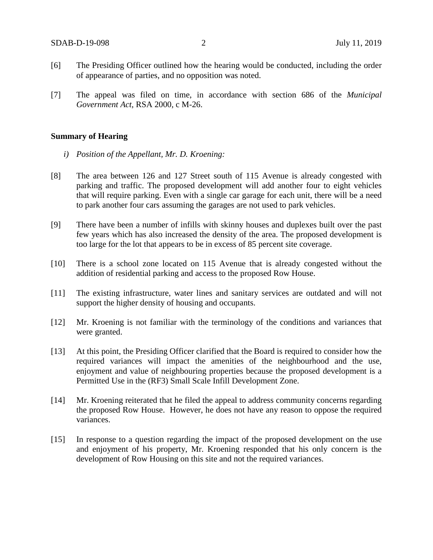- [6] The Presiding Officer outlined how the hearing would be conducted, including the order of appearance of parties, and no opposition was noted.
- [7] The appeal was filed on time, in accordance with section 686 of the *Municipal Government Act*, RSA 2000, c M-26.

#### **Summary of Hearing**

- *i) Position of the Appellant, Mr. D. Kroening:*
- [8] The area between 126 and 127 Street south of 115 Avenue is already congested with parking and traffic. The proposed development will add another four to eight vehicles that will require parking. Even with a single car garage for each unit, there will be a need to park another four cars assuming the garages are not used to park vehicles.
- [9] There have been a number of infills with skinny houses and duplexes built over the past few years which has also increased the density of the area. The proposed development is too large for the lot that appears to be in excess of 85 percent site coverage.
- [10] There is a school zone located on 115 Avenue that is already congested without the addition of residential parking and access to the proposed Row House.
- [11] The existing infrastructure, water lines and sanitary services are outdated and will not support the higher density of housing and occupants.
- [12] Mr. Kroening is not familiar with the terminology of the conditions and variances that were granted.
- [13] At this point, the Presiding Officer clarified that the Board is required to consider how the required variances will impact the amenities of the neighbourhood and the use, enjoyment and value of neighbouring properties because the proposed development is a Permitted Use in the (RF3) Small Scale Infill Development Zone.
- [14] Mr. Kroening reiterated that he filed the appeal to address community concerns regarding the proposed Row House. However, he does not have any reason to oppose the required variances.
- [15] In response to a question regarding the impact of the proposed development on the use and enjoyment of his property, Mr. Kroening responded that his only concern is the development of Row Housing on this site and not the required variances.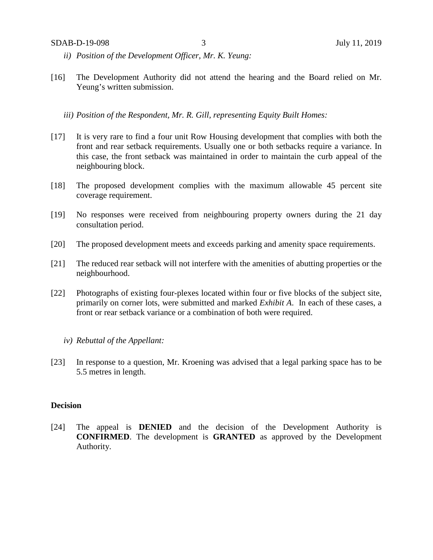- *ii) Position of the Development Officer, Mr. K. Yeung:*
- [16] The Development Authority did not attend the hearing and the Board relied on Mr. Yeung's written submission.
	- *iii) Position of the Respondent, Mr. R. Gill, representing Equity Built Homes:*
- [17] It is very rare to find a four unit Row Housing development that complies with both the front and rear setback requirements. Usually one or both setbacks require a variance. In this case, the front setback was maintained in order to maintain the curb appeal of the neighbouring block.
- [18] The proposed development complies with the maximum allowable 45 percent site coverage requirement.
- [19] No responses were received from neighbouring property owners during the 21 day consultation period.
- [20] The proposed development meets and exceeds parking and amenity space requirements.
- [21] The reduced rear setback will not interfere with the amenities of abutting properties or the neighbourhood.
- [22] Photographs of existing four-plexes located within four or five blocks of the subject site, primarily on corner lots, were submitted and marked *Exhibit A*. In each of these cases, a front or rear setback variance or a combination of both were required.
	- *iv) Rebuttal of the Appellant:*
- [23] In response to a question, Mr. Kroening was advised that a legal parking space has to be 5.5 metres in length.

## **Decision**

[24] The appeal is **DENIED** and the decision of the Development Authority is **CONFIRMED**. The development is **GRANTED** as approved by the Development Authority.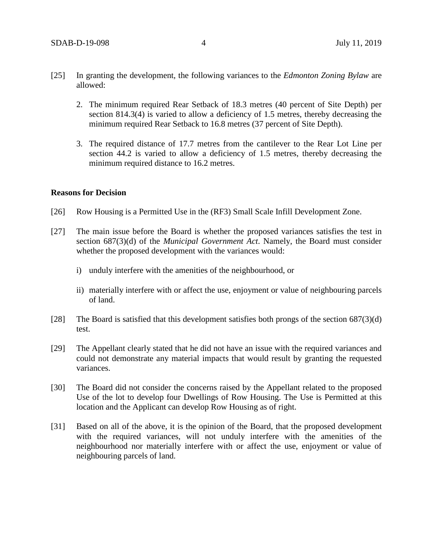- [25] In granting the development, the following variances to the *Edmonton Zoning Bylaw* are allowed:
	- 2. The minimum required Rear Setback of 18.3 metres (40 percent of Site Depth) per section 814.3(4) is varied to allow a deficiency of 1.5 metres, thereby decreasing the minimum required Rear Setback to 16.8 metres (37 percent of Site Depth).
	- 3. The required distance of 17.7 metres from the cantilever to the Rear Lot Line per section 44.2 is varied to allow a deficiency of 1.5 metres, thereby decreasing the minimum required distance to 16.2 metres.

#### **Reasons for Decision**

- [26] Row Housing is a Permitted Use in the (RF3) Small Scale Infill Development Zone.
- [27] The main issue before the Board is whether the proposed variances satisfies the test in section 687(3)(d) of the *Municipal Government Act*. Namely, the Board must consider whether the proposed development with the variances would:
	- i) unduly interfere with the amenities of the neighbourhood, or
	- ii) materially interfere with or affect the use, enjoyment or value of neighbouring parcels of land.
- [28] The Board is satisfied that this development satisfies both prongs of the section  $687(3)(d)$ test.
- [29] The Appellant clearly stated that he did not have an issue with the required variances and could not demonstrate any material impacts that would result by granting the requested variances.
- [30] The Board did not consider the concerns raised by the Appellant related to the proposed Use of the lot to develop four Dwellings of Row Housing. The Use is Permitted at this location and the Applicant can develop Row Housing as of right.
- [31] Based on all of the above, it is the opinion of the Board, that the proposed development with the required variances, will not unduly interfere with the amenities of the neighbourhood nor materially interfere with or affect the use, enjoyment or value of neighbouring parcels of land.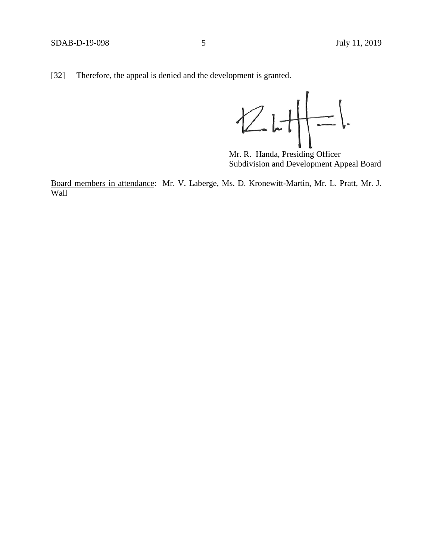[32] Therefore, the appeal is denied and the development is granted.

 $\frac{1}{\frac{1}{1-\frac{1}{2}}}$  $ZH$ 

Mr. R. Handa, Presiding Officer Subdivision and Development Appeal Board

Board members in attendance: Mr. V. Laberge, Ms. D. Kronewitt-Martin, Mr. L. Pratt, Mr. J. Wall